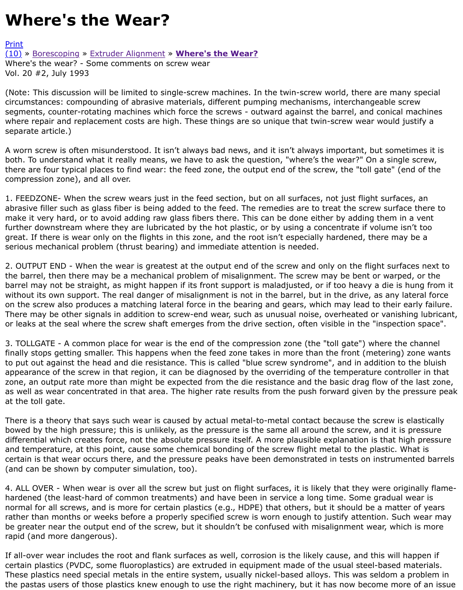(Note: This discussion will be limited to single-screw machines. In the twin-screw world, there are r circumstances: compounding of abrasive materials, different pumping mechanisms, interchangeable segments, counter-rotating machines which force the screws - outward against the barrel, and conid [wher](http://extrusionwiki.com/wiki/Print.aspx?Page=CC-V20-2-E)e repair and replacement costs are high. These things are so unique that twin-screw wear wou [sepa](http://extrusionwiki.com/wiki/CC-V20-2-E.ashx#)ra[te article.\)](http://extrusionwiki.com/wiki/CC-V20-2-C.ashx)

A worn screw is often misunderstood. It isn't always bad news, and it isn't always important, but so both. To understand what it really means, we have to ask the question, "where's the wear?" On a si there are four typical places to find wear: the feed zone, the output end of the screw, the "toll gate' compression zone), and all over.

1. FEEDZONE- When the screw wears just in the feed section, but on all surfaces, not just flight sur abrasive filler such as glass fiber is being added to the feed. The remedies are to treat the screw surface to make it very hard, or to avoid adding raw glass fibers there. This can be done either by adding then further downstream where they are lubricated by the hot plastic, or by using a concentrate if volum great. If there is wear only on the flights in this zone, and the root isn't especially hardened, there r serious mechanical problem (thrust bearing) and immediate attention is needed.

2. OUTPUT END - When the wear is greatest at the output end of the screw and only on the flight su the barrel, then there may be a mechanical problem of misalignment. The screw may be bent or wa barrel may not be straight, as might happen if its front support is maladjusted, or if too heavy a die without its own support. The real danger of misalignment is not in the barrel, but in the drive, as ar on the screw also produces a matching lateral force in the bearing and gears, which may lead to the There may be other signals in addition to screw-end wear, such as unusual noise, overheated or var or leaks at the seal where the screw shaft emerges from the drive section, often visible in the "inspe

3. TOLLGATE - A common place for wear is the end of the compression zone (the "toll gate") where finally stops getting smaller. This happens when the feed zone takes in more than the front (metering) to put out against the head and die resistance. This is called "blue screw syndrome", and in additior appearance of the screw in that region, it can be diagnosed by the overriding of the temperature co zone, an output rate more than might be expected from the die resistance and the basic drag flow o as well as wear concentrated in that area. The higher rate results from the push forward given by th at the toll gate.

There is a theory that says such wear is caused by actual metal-to-metal contact because the screw bowed by the high pressure; this is unlikely, as the pressure is the same all around the screw, and i differential which creates force, not the absolute pressure itself. A more plausible explanation is that and temperature, at this point, cause some chemical bonding of the screw flight metal to the plastic certain is that wear occurs there, and the pressure peaks have been demonstrated in tests on instru (and can be shown by computer simulation, too).

4. ALL OVER - When wear is over all the screw but just on flight surfaces, it is likely that they were hardened (the least-hard of common treatments) and have been in service a long time. Some gradu normal for all screws, and is more for certain plastics (e.g., HDPE) that others, but it should be a matter of rather than months or weeks before a properly specified screw is worn enough to justify attention. S be greater near the output end of the screw, but it shouldn't be confused with misalignment wear, v rapid (and more dangerous).

If all-over wear includes the root and flank surfaces as well, corrosion is the likely cause, and this w certain plastics (PVDC, some fluoroplastics) are extruded in equipment made of the usual steel-base These plastics need special metals in the entire system, usually nickel-based alloys. This was seldor the pastas users of those plastics knew enough to use the right machinery, but it has now become r